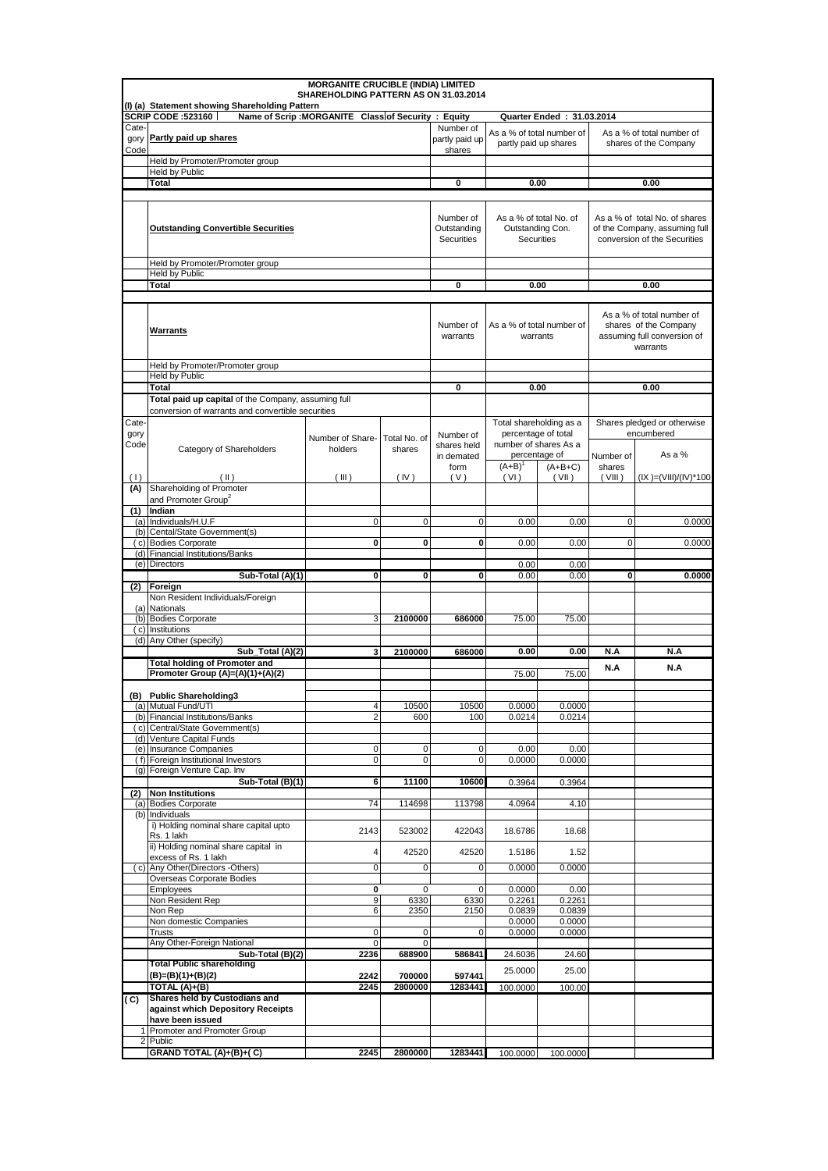|                       | <b>MORGANITE CRUCIBLE (INDIA) LIMITED</b><br>SHAREHOLDING PATTERN AS ON 31.03.2014     |                                                    |                        |                                                          |                                                                                                |                                                                                          |             |                                                     |  |
|-----------------------|----------------------------------------------------------------------------------------|----------------------------------------------------|------------------------|----------------------------------------------------------|------------------------------------------------------------------------------------------------|------------------------------------------------------------------------------------------|-------------|-----------------------------------------------------|--|
|                       | (I) (a) Statement showing Shareholding Pattern                                         |                                                    |                        |                                                          |                                                                                                |                                                                                          |             |                                                     |  |
|                       | <b>SCRIP CODE :523160</b>                                                              | Name of Scrip: MORGANITE Class of Security: Equity |                        |                                                          |                                                                                                | Quarter Ended: 31.03.2014                                                                |             |                                                     |  |
| Cate-                 | gory Partly paid up shares                                                             | Number of<br>partly paid up                        |                        | As a % of total number of                                |                                                                                                | As a % of total number of                                                                |             |                                                     |  |
| Code                  |                                                                                        |                                                    |                        | shares                                                   |                                                                                                | partly paid up shares                                                                    |             | shares of the Company                               |  |
|                       | Held by Promoter/Promoter group                                                        |                                                    |                        |                                                          |                                                                                                |                                                                                          |             |                                                     |  |
|                       | Held by Public<br><b>Total</b>                                                         |                                                    |                        | 0                                                        |                                                                                                | 0.00                                                                                     | 0.00        |                                                     |  |
|                       |                                                                                        |                                                    |                        |                                                          |                                                                                                |                                                                                          |             |                                                     |  |
|                       | <b>Outstanding Convertible Securities</b>                                              | Number of<br>Outstanding<br>Securities             |                        | As a % of total No. of<br>Outstanding Con.<br>Securities | As a % of total No. of shares<br>of the Company, assuming full<br>conversion of the Securities |                                                                                          |             |                                                     |  |
|                       | Held by Promoter/Promoter group                                                        |                                                    |                        |                                                          |                                                                                                |                                                                                          |             |                                                     |  |
|                       | Held by Public<br>Total                                                                |                                                    |                        | 0                                                        |                                                                                                | 0.00                                                                                     |             | 0.00                                                |  |
|                       |                                                                                        |                                                    |                        |                                                          |                                                                                                |                                                                                          |             |                                                     |  |
|                       | Warrants                                                                               | Number of<br>warrants                              |                        | As a % of total number of<br>warrants                    | As a % of total number of<br>shares of the Company<br>assuming full conversion of<br>warrants  |                                                                                          |             |                                                     |  |
|                       | Held by Promoter/Promoter group                                                        |                                                    |                        |                                                          |                                                                                                |                                                                                          |             |                                                     |  |
|                       | <b>Held by Public</b>                                                                  |                                                    |                        | 0                                                        |                                                                                                | 0.00                                                                                     |             | 0.00                                                |  |
|                       | Total<br>Total paid up capital of the Company, assuming full                           |                                                    |                        |                                                          |                                                                                                |                                                                                          |             |                                                     |  |
|                       | conversion of warrants and convertible securities                                      |                                                    |                        |                                                          |                                                                                                |                                                                                          |             |                                                     |  |
| Cate-<br>gory<br>Code | Category of Shareholders                                                               | Number of Share-<br>holders                        | Total No. of<br>shares | Number of<br>shares held<br>in demated                   |                                                                                                | Total shareholding as a<br>percentage of total<br>number of shares As a<br>percentage of | Number of   | Shares pledged or otherwise<br>encumbered<br>As a % |  |
|                       |                                                                                        |                                                    |                        | form                                                     | $(A+B)^T$                                                                                      | $(A+B+C)$                                                                                | shares      |                                                     |  |
| (1)<br>(A)            | ( II )<br>Shareholding of Promoter                                                     | $($ III $)$                                        | (IV)                   | (V)                                                      | (VI)                                                                                           | (VII)                                                                                    | (VIII)      | $(IX) = (VIII)/(IV)^*100$                           |  |
|                       | and Promoter Group <sup>2</sup>                                                        |                                                    |                        |                                                          |                                                                                                |                                                                                          |             |                                                     |  |
| (1)                   | Indian<br>(a) Individuals/H.U.F                                                        | $\mathbf 0$                                        | $\mathbf 0$            | $\mathbf 0$                                              | 0.00                                                                                           | 0.00                                                                                     | $\mathbf 0$ | 0.0000                                              |  |
|                       | (b) Cental/State Government(s)                                                         |                                                    |                        |                                                          |                                                                                                |                                                                                          |             |                                                     |  |
|                       | (c) Bodies Corporate                                                                   | 0                                                  | 0                      | 0                                                        | 0.00                                                                                           | 0.00                                                                                     | $\mathbf 0$ | 0.0000                                              |  |
| (e)                   | (d) Financial Institutions/Banks<br>Directors                                          |                                                    |                        |                                                          | 0.00                                                                                           | 0.00                                                                                     |             |                                                     |  |
|                       | Sub-Total (A)(1)                                                                       | $\mathbf{0}$                                       | 0                      | 0                                                        | 0.00                                                                                           | 0.00                                                                                     | 0           | 0.0000                                              |  |
| (2)                   | Foreign                                                                                |                                                    |                        |                                                          |                                                                                                |                                                                                          |             |                                                     |  |
|                       | Non Resident Individuals/Foreign<br>(a) Nationals                                      |                                                    |                        |                                                          |                                                                                                |                                                                                          |             |                                                     |  |
|                       | (b) Bodies Corporate<br>c) Institutions                                                | 3                                                  | 2100000                | 686000                                                   | 75.00                                                                                          | 75.00                                                                                    |             |                                                     |  |
|                       | (d) Any Other (specify)                                                                |                                                    |                        |                                                          |                                                                                                |                                                                                          |             |                                                     |  |
|                       | Sub_Total (A)(2)                                                                       | 3                                                  | 2100000                | 686000                                                   | 0.00                                                                                           | 0.00                                                                                     | N.A         | N.A                                                 |  |
|                       | <b>Total holding of Promoter and</b><br>Promoter Group (A)=(A)(1)+(A)(2)               |                                                    |                        |                                                          |                                                                                                | 75.00                                                                                    | N.A         | N.A                                                 |  |
|                       |                                                                                        |                                                    |                        |                                                          | 75.00                                                                                          |                                                                                          |             |                                                     |  |
|                       | (B) Public Shareholding3                                                               |                                                    |                        |                                                          |                                                                                                |                                                                                          |             |                                                     |  |
|                       | (a) Mutual Fund/UTI<br>(b) Financial Institutions/Banks                                | $\overline{4}$<br>$\overline{2}$                   | 10500                  | 10500                                                    | 0.0000                                                                                         | 0.0000                                                                                   |             |                                                     |  |
|                       | (c) Central/State Government(s)                                                        |                                                    | 600                    | 100                                                      | 0.0214                                                                                         | 0.0214                                                                                   |             |                                                     |  |
|                       | (d) Venture Capital Funds                                                              |                                                    |                        |                                                          |                                                                                                |                                                                                          |             |                                                     |  |
| (f)                   | (e) Insurance Companies<br>Foreign Institutional Investors                             | 0<br>0                                             | 0<br>0                 | 0<br>0                                                   | 0.00<br>0.0000                                                                                 | 0.00<br>0.0000                                                                           |             |                                                     |  |
| (q)                   | Foreign Venture Cap. Inv                                                               |                                                    |                        |                                                          |                                                                                                |                                                                                          |             |                                                     |  |
|                       | Sub-Total (B)(1)                                                                       | 6                                                  | 11100                  | 10600                                                    | 0.3964                                                                                         | 0.3964                                                                                   |             |                                                     |  |
| (2)                   | <b>Non Institutions</b><br>(a) Bodies Corporate                                        | 74                                                 | 114698                 | 113798                                                   | 4.0964                                                                                         | 4.10                                                                                     |             |                                                     |  |
|                       | (b) Individuals                                                                        |                                                    |                        |                                                          |                                                                                                |                                                                                          |             |                                                     |  |
|                       | i) Holding nominal share capital upto<br>Rs. 1 lakh                                    | 2143                                               | 523002                 | 422043                                                   | 18.6786                                                                                        | 18.68                                                                                    |             |                                                     |  |
|                       | ii) Holding nominal share capital in<br>excess of Rs. 1 lakh                           | 4                                                  | 42520                  | 42520                                                    | 1.5186                                                                                         | 1.52                                                                                     |             |                                                     |  |
| (c)                   | Any Other(Directors -Others)                                                           | 0                                                  | $\mathbf 0$            | 0                                                        | 0.0000                                                                                         | 0.0000                                                                                   |             |                                                     |  |
|                       | Overseas Corporate Bodies                                                              |                                                    | 0                      |                                                          |                                                                                                |                                                                                          |             |                                                     |  |
|                       |                                                                                        |                                                    |                        | $\mathbf 0$                                              | 0.0000                                                                                         | 0.00                                                                                     |             |                                                     |  |
|                       | Employees                                                                              | 0<br>$\overline{9}$                                | 6330                   | 6330                                                     | 0.2261                                                                                         | 0.2261                                                                                   |             |                                                     |  |
|                       | Non Resident Rep<br>Non Rep                                                            | 6                                                  | 2350                   | 2150                                                     | 0.0839                                                                                         | 0.0839                                                                                   |             |                                                     |  |
|                       | Non domestic Companies                                                                 |                                                    |                        |                                                          | 0.0000                                                                                         | 0.0000                                                                                   |             |                                                     |  |
|                       | <b>Trusts</b><br>Any Other-Foreign National                                            | 0<br>$\mathbf 0$                                   | 0<br>0                 | 0                                                        | 0.0000                                                                                         | 0.0000                                                                                   |             |                                                     |  |
|                       | Sub-Total (B)(2)                                                                       | 2236                                               | 688900                 | 586841                                                   | 24.6036                                                                                        | 24.60                                                                                    |             |                                                     |  |
|                       | <b>Total Public shareholding</b><br>(B)=(B)(1)+(B)(2)                                  | 2242                                               | 700000                 | 597441                                                   | 25.0000                                                                                        | 25.00                                                                                    |             |                                                     |  |
|                       | TOTAL (A)+(B)                                                                          | 2245                                               | 2800000                | 1283441                                                  | 100.0000                                                                                       | 100.00                                                                                   |             |                                                     |  |
| (C)                   | Shares held by Custodians and<br>against which Depository Receipts<br>have been issued |                                                    |                        |                                                          |                                                                                                |                                                                                          |             |                                                     |  |
| 1<br>$\overline{2}$   | Promoter and Promoter Group<br>Public                                                  |                                                    |                        |                                                          |                                                                                                |                                                                                          |             |                                                     |  |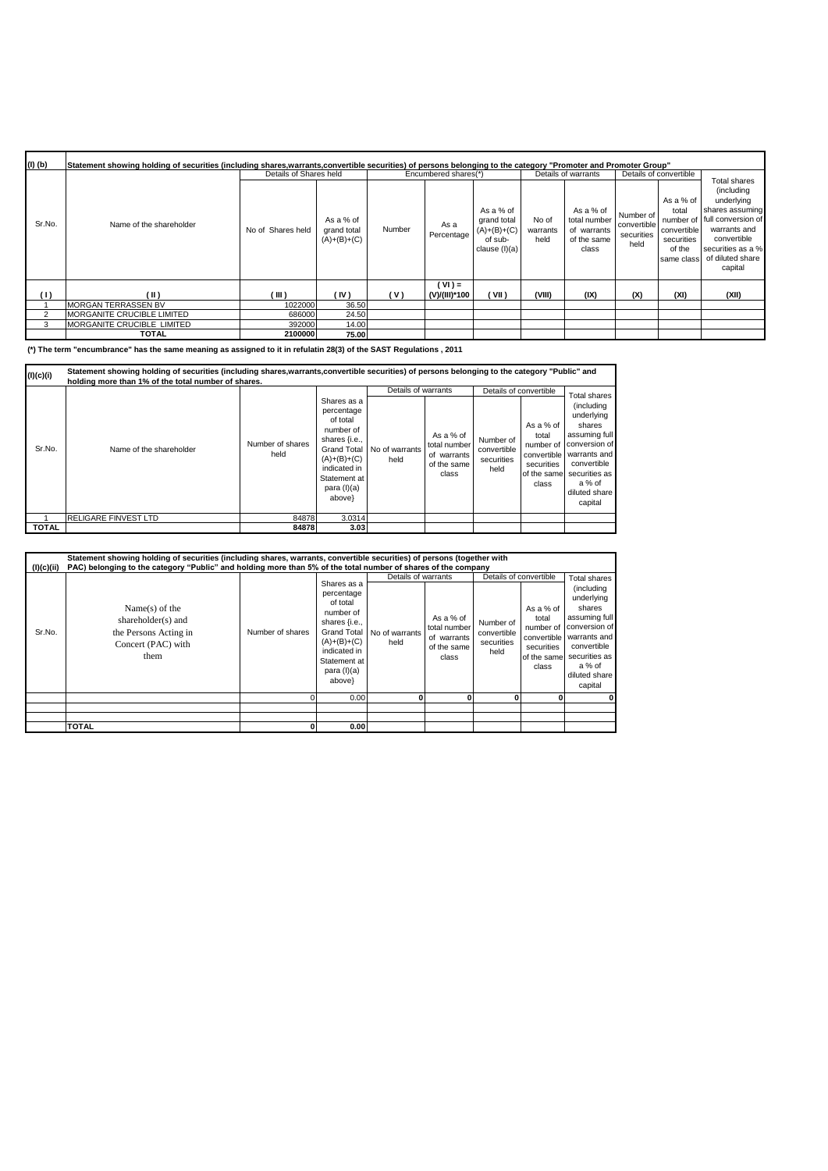| $(l)$ $(b)$ |                                   | Statement showing holding of securities (including shares,warrants,convertible securities) of persons belonging to the category "Promoter and Promoter Group" |                                           |                      |                    |                                                                         |                           |                                                                  |                                                |                                                           |                                                                                                                                                                           |
|-------------|-----------------------------------|---------------------------------------------------------------------------------------------------------------------------------------------------------------|-------------------------------------------|----------------------|--------------------|-------------------------------------------------------------------------|---------------------------|------------------------------------------------------------------|------------------------------------------------|-----------------------------------------------------------|---------------------------------------------------------------------------------------------------------------------------------------------------------------------------|
|             |                                   | Details of Shares held                                                                                                                                        |                                           | Encumbered shares(*) |                    |                                                                         | Details of warrants       |                                                                  | Details of convertible                         |                                                           | Total shares                                                                                                                                                              |
| Sr.No.      | Name of the shareholder           | No of Shares held                                                                                                                                             | As a % of<br>grand total<br>$(A)+(B)+(C)$ | Number               | As a<br>Percentage | As a % of<br>grand total<br>$(A)+(B)+(C)$<br>of sub-<br>clause $(l)(a)$ | No of<br>warrants<br>held | As a % of<br>total number<br>of warrants<br>of the same<br>class | Number of<br>convertible<br>securities<br>held | As a % of<br>total<br>convertible<br>securities<br>of the | (including<br>underlying<br>shares assuming<br>number of full conversion of<br>warrants and<br>convertible<br>securities as a %<br>same class of diluted share<br>capital |
|             |                                   |                                                                                                                                                               |                                           |                      | $(VI) =$           |                                                                         |                           |                                                                  |                                                |                                                           |                                                                                                                                                                           |
| (1)         | $(\parallel)$                     | (III)                                                                                                                                                         | (IV)                                      | (V)                  | (V)/(III)*100      | (VII)                                                                   | (VIII)                    | (IX)                                                             | (X)                                            | (XI)                                                      | (XII)                                                                                                                                                                     |
|             | <b>MORGAN TERRASSEN BV</b>        | 1022000                                                                                                                                                       | 36.50                                     |                      |                    |                                                                         |                           |                                                                  |                                                |                                                           |                                                                                                                                                                           |
| 2           | <b>MORGANITE CRUCIBLE LIMITED</b> | 686000                                                                                                                                                        | 24.50                                     |                      |                    |                                                                         |                           |                                                                  |                                                |                                                           |                                                                                                                                                                           |
| 3           | MORGANITE CRUCIBLE LIMITED        | 392000                                                                                                                                                        | 14.00                                     |                      |                    |                                                                         |                           |                                                                  |                                                |                                                           |                                                                                                                                                                           |
|             | <b>TOTAL</b>                      | 2100000                                                                                                                                                       | 75.00                                     |                      |                    |                                                                         |                           |                                                                  |                                                |                                                           |                                                                                                                                                                           |

**(\*) The term "encumbrance" has the same meaning as assigned to it in refulatin 28(3) of the SAST Regulations , 2011**

| (I)(c)(i)    | Statement showing holding of securities (including shares, warrants, convertible securities) of persons belonging to the category "Public" and<br>holding more than 1% of the total number of shares. |                          |                                                                                                                                               |                                                           |                                                                  |                                                |                                                                                                                |                                                                                                                                                                            |
|--------------|-------------------------------------------------------------------------------------------------------------------------------------------------------------------------------------------------------|--------------------------|-----------------------------------------------------------------------------------------------------------------------------------------------|-----------------------------------------------------------|------------------------------------------------------------------|------------------------------------------------|----------------------------------------------------------------------------------------------------------------|----------------------------------------------------------------------------------------------------------------------------------------------------------------------------|
| Sr.No.       | Name of the shareholder                                                                                                                                                                               | Number of shares<br>held | Shares as a<br>percentage<br>of total<br>number of<br>shares {i.e.,<br>$(A)+(B)+(C)$<br>indicated in<br>Statement at<br>para (I)(a)<br>above} | Details of warrants<br>Grand Total No of warrants<br>held | As a % of<br>total number<br>of warrants<br>of the same<br>class | Number of<br>convertible<br>securities<br>held | Details of convertible<br>As a % of<br>total<br>number of<br>convertible<br>securities<br>of the same<br>class | Total shares<br>(including<br>underlying<br>shares<br>assuming full<br>conversion of<br>warrants and<br>convertible<br>securities as<br>a % of<br>diluted share<br>capital |
|              | <b>RELIGARE FINVEST LTD</b>                                                                                                                                                                           | 84878                    | 3.0314                                                                                                                                        |                                                           |                                                                  |                                                |                                                                                                                |                                                                                                                                                                            |
| <b>TOTAL</b> |                                                                                                                                                                                                       | 84878                    | 3.03                                                                                                                                          |                                                           |                                                                  |                                                |                                                                                                                |                                                                                                                                                                            |

|            | Statement showing holding of securities (including shares, warrants, convertible securities) of persons (together with |                  |                                                                                                                                                                     |                                               |                                                                  |                                                |                                                                                                                |                                                                                                                                                                            |  |  |
|------------|------------------------------------------------------------------------------------------------------------------------|------------------|---------------------------------------------------------------------------------------------------------------------------------------------------------------------|-----------------------------------------------|------------------------------------------------------------------|------------------------------------------------|----------------------------------------------------------------------------------------------------------------|----------------------------------------------------------------------------------------------------------------------------------------------------------------------------|--|--|
| (I)(c)(ii) | PAC) belonging to the category "Public" and holding more than 5% of the total number of shares of the company          |                  |                                                                                                                                                                     |                                               |                                                                  |                                                |                                                                                                                |                                                                                                                                                                            |  |  |
| Sr.No.     | Name $(s)$ of the<br>shareholder(s) and<br>the Persons Acting in<br>Concert (PAC) with<br>them                         | Number of shares | Shares as a<br>percentage<br>of total<br>number of<br>shares {i.e.,<br><b>Grand Total</b><br>$(A)+(B)+(C)$<br>indicated in<br>Statement at<br>para (I)(a)<br>above} | Details of warrants<br>No of warrants<br>held | As a % of<br>total number<br>of warrants<br>of the same<br>class | Number of<br>convertible<br>securities<br>held | Details of convertible<br>As a % of<br>total<br>number of<br>convertible<br>securities<br>of the same<br>class | Total shares<br>(including<br>underlying<br>shares<br>assuming full<br>conversion of<br>warrants and<br>convertible<br>securities as<br>a % of<br>diluted share<br>capital |  |  |
|            |                                                                                                                        |                  | 0.00                                                                                                                                                                |                                               |                                                                  |                                                | 0                                                                                                              |                                                                                                                                                                            |  |  |
|            |                                                                                                                        |                  |                                                                                                                                                                     |                                               |                                                                  |                                                |                                                                                                                |                                                                                                                                                                            |  |  |
|            | <b>TOTAL</b>                                                                                                           | O                | 0.00                                                                                                                                                                |                                               |                                                                  |                                                |                                                                                                                |                                                                                                                                                                            |  |  |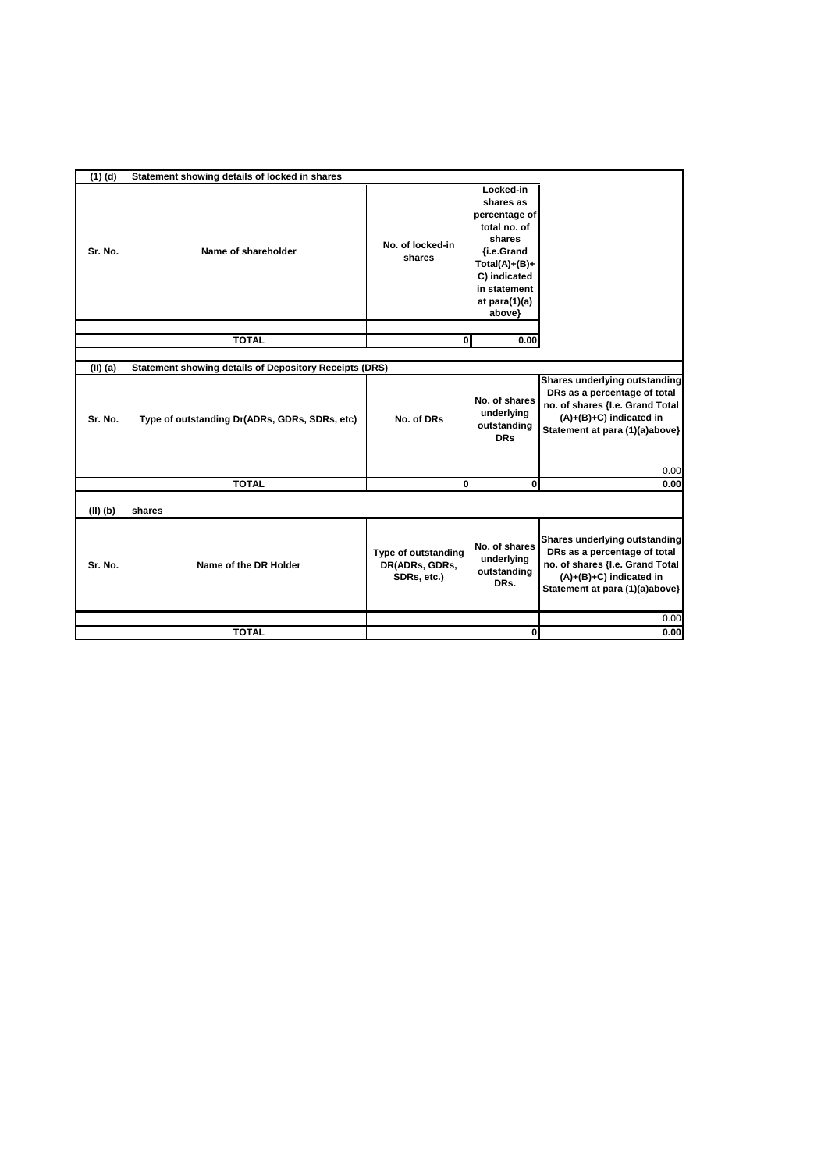| $(1)$ $(d)$  | Statement showing details of locked in shares                 |                                                      |                                                                                                                                                                  |                                                                                                                                                                  |
|--------------|---------------------------------------------------------------|------------------------------------------------------|------------------------------------------------------------------------------------------------------------------------------------------------------------------|------------------------------------------------------------------------------------------------------------------------------------------------------------------|
| Sr. No.      | Name of shareholder                                           | No. of locked-in<br>shares                           | Locked-in<br>shares as<br>percentage of<br>total no. of<br>shares<br>{i.e.Grand<br>$Total(A)+(B)+$<br>C) indicated<br>in statement<br>at para $(1)(a)$<br>above} |                                                                                                                                                                  |
|              |                                                               |                                                      |                                                                                                                                                                  |                                                                                                                                                                  |
|              | <b>TOTAL</b>                                                  | 0                                                    | 0.00                                                                                                                                                             |                                                                                                                                                                  |
|              |                                                               |                                                      |                                                                                                                                                                  |                                                                                                                                                                  |
| $(II)$ (a)   | <b>Statement showing details of Depository Receipts (DRS)</b> |                                                      |                                                                                                                                                                  |                                                                                                                                                                  |
| Sr. No.      | Type of outstanding Dr(ADRs, GDRs, SDRs, etc)                 | No. of DRs                                           | No. of shares<br>underlying<br>outstanding<br><b>DRs</b>                                                                                                         | Shares underlying outstanding<br>DRs as a percentage of total<br>no. of shares {I.e. Grand Total<br>(A)+(B)+C) indicated in<br>Statement at para (1)(a)above}    |
|              |                                                               |                                                      |                                                                                                                                                                  | 0.00                                                                                                                                                             |
|              | <b>TOTAL</b>                                                  | 0                                                    | 0                                                                                                                                                                | 0.00                                                                                                                                                             |
|              |                                                               |                                                      |                                                                                                                                                                  |                                                                                                                                                                  |
| $(II)$ $(b)$ | shares                                                        |                                                      |                                                                                                                                                                  |                                                                                                                                                                  |
| Sr. No.      | Name of the DR Holder                                         | Type of outstanding<br>DR(ADRs, GDRs,<br>SDRs, etc.) | No. of shares<br>underlying<br>outstanding<br>DRs.                                                                                                               | Shares underlying outstanding<br>DRs as a percentage of total<br>no. of shares {I.e. Grand Total<br>$(A)+(B)+C$ ) indicated in<br>Statement at para (1)(a)above} |
|              |                                                               |                                                      |                                                                                                                                                                  | 0.00                                                                                                                                                             |
|              | <b>TOTAL</b>                                                  |                                                      | $\mathbf{0}$                                                                                                                                                     | 0.00                                                                                                                                                             |